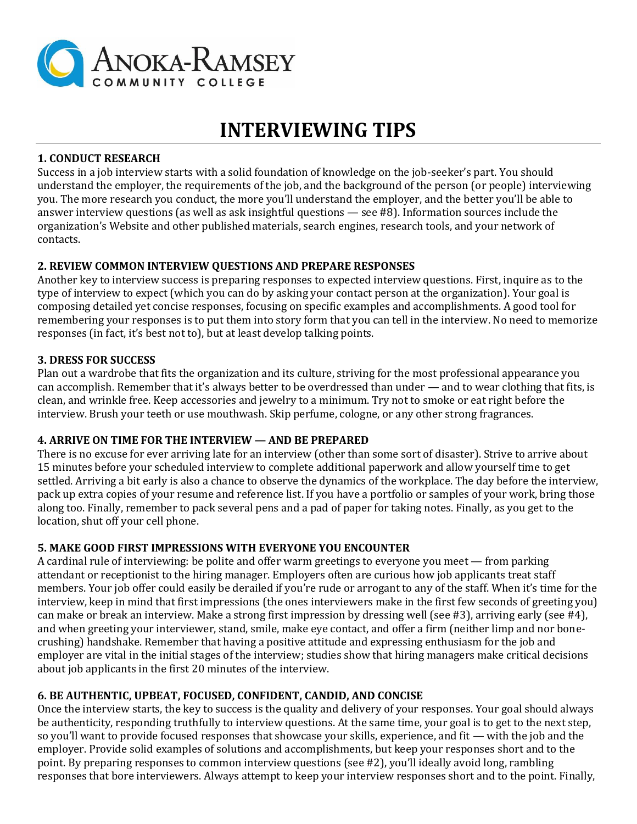

# **INTERVIEWING TIPS**

#### **1. CONDUCT RESEARCH**

Success in a job interview starts with a solid foundation of knowledge on the job-seeker's part. You should understand the employer, the requirements of the job, and the background of the person (or people) interviewing you. The more research you conduct, the more you'll understand the employer, and the better you'll be able to answer interview questions (as well as ask insightful questions — see #8). Information sources include the organization's Website and other published materials, search engines, research tools, and your network of contacts.

## **2. REVIEW COMMON INTERVIEW QUESTIONS AND PREPARE RESPONSES**

Another key to interview success is preparing responses to expected interview questions. First, inquire as to the type of interview to expect (which you can do by asking your contact person at the organization). Your goal is composing detailed yet concise responses, focusing on specific examples and accomplishments. A good tool for remembering your responses is to put them into story form that you can tell in the interview. No need to memorize responses (in fact, it's best not to), but at least develop talking points.

#### **3. DRESS FOR SUCCESS**

Plan out a wardrobe that fits the organization and its culture, striving for the most professional appearance you can accomplish. Remember that it's always better to be overdressed than under — and to wear clothing that fits, is clean, and wrinkle free. Keep accessories and jewelry to a minimum. Try not to smoke or eat right before the interview. Brush your teeth or use mouthwash. Skip perfume, cologne, or any other strong fragrances.

## **4. ARRIVE ON TIME FOR THE INTERVIEW — AND BE PREPARED**

There is no excuse for ever arriving late for an interview (other than some sort of disaster). Strive to arrive about 15 minutes before your scheduled interview to complete additional paperwork and allow yourself time to get settled. Arriving a bit early is also a chance to observe the dynamics of the workplace. The day before the interview, pack up extra copies of your resume and reference list. If you have a portfolio or samples of your work, bring those along too. Finally, remember to pack several pens and a pad of paper for taking notes. Finally, as you get to the location, shut off your cell phone.

#### **5. MAKE GOOD FIRST IMPRESSIONS WITH EVERYONE YOU ENCOUNTER**

A cardinal rule of interviewing: be polite and offer warm greetings to everyone you meet — from parking attendant or receptionist to the hiring manager. Employers often are curious how job applicants treat staff members. Your job offer could easily be derailed if you're rude or arrogant to any of the staff. When it's time for the interview, keep in mind that first impressions (the ones interviewers make in the first few seconds of greeting you) can make or break an interview. Make a strong first impression by dressing well (see #3), arriving early (see #4), and when greeting your interviewer, stand, smile, make eye contact, and offer a firm (neither limp and nor bonecrushing) handshake. Remember that having a positive attitude and expressing enthusiasm for the job and employer are vital in the initial stages of the interview; studies show that hiring managers make critical decisions about job applicants in the first 20 minutes of the interview.

# **6. BE AUTHENTIC, UPBEAT, FOCUSED, CONFIDENT, CANDID, AND CONCISE**

Once the interview starts, the key to success is the quality and delivery of your responses. Your goal should always be authenticity, responding truthfully to interview questions. At the same time, your goal is to get to the next step, so you'll want to provide focused responses that showcase your skills, experience, and fit — with the job and the employer. Provide solid examples of solutions and accomplishments, but keep your responses short and to the point. By preparing responses to common interview questions (see #2), you'll ideally avoid long, rambling responses that bore interviewers. Always attempt to keep your interview responses short and to the point. Finally,